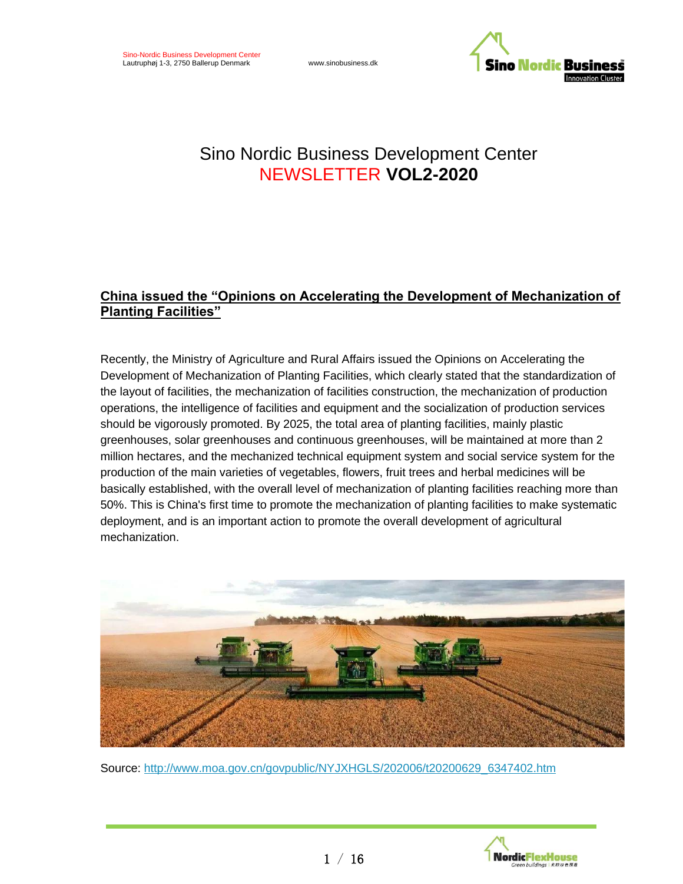

# Sino Nordic Business Development Center NEWSLETTER **VOL2-2020**

# **China issued the "Opinions on Accelerating the Development of Mechanization of Planting Facilities"**

Recently, the Ministry of Agriculture and Rural Affairs issued the Opinions on Accelerating the Development of Mechanization of Planting Facilities, which clearly stated that the standardization of the layout of facilities, the mechanization of facilities construction, the mechanization of production operations, the intelligence of facilities and equipment and the socialization of production services should be vigorously promoted. By 2025, the total area of planting facilities, mainly plastic greenhouses, solar greenhouses and continuous greenhouses, will be maintained at more than 2 million hectares, and the mechanized technical equipment system and social service system for the production of the main varieties of vegetables, flowers, fruit trees and herbal medicines will be basically established, with the overall level of mechanization of planting facilities reaching more than 50%. This is China's first time to promote the mechanization of planting facilities to make systematic deployment, and is an important action to promote the overall development of agricultural mechanization.



Source: [http://www.moa.gov.cn/govpublic/NYJXHGLS/202006/t20200629\\_6347402.htm](http://www.moa.gov.cn/govpublic/NYJXHGLS/202006/t20200629_6347402.htm)

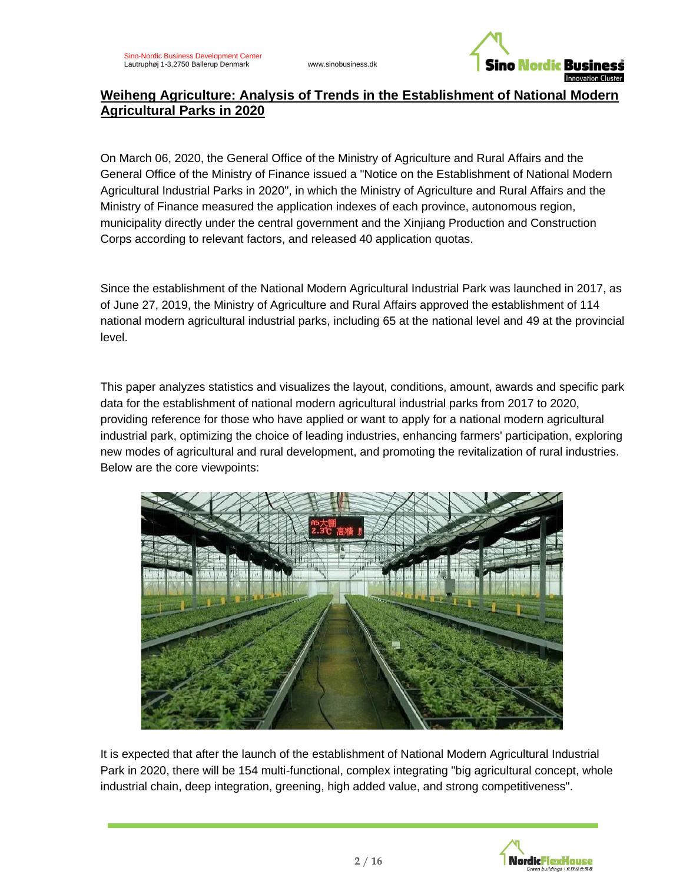

# **Weiheng Agriculture: Analysis of Trends in the Establishment of National Modern Agricultural Parks in 2020**

On March 06, 2020, the General Office of the Ministry of Agriculture and Rural Affairs and the General Office of the Ministry of Finance issued a "Notice on the Establishment of National Modern Agricultural Industrial Parks in 2020", in which the Ministry of Agriculture and Rural Affairs and the Ministry of Finance measured the application indexes of each province, autonomous region, municipality directly under the central government and the Xinjiang Production and Construction Corps according to relevant factors, and released 40 application quotas.

Since the establishment of the National Modern Agricultural Industrial Park was launched in 2017, as of June 27, 2019, the Ministry of Agriculture and Rural Affairs approved the establishment of 114 national modern agricultural industrial parks, including 65 at the national level and 49 at the provincial level.

This paper analyzes statistics and visualizes the layout, conditions, amount, awards and specific park data for the establishment of national modern agricultural industrial parks from 2017 to 2020, providing reference for those who have applied or want to apply for a national modern agricultural industrial park, optimizing the choice of leading industries, enhancing farmers' participation, exploring new modes of agricultural and rural development, and promoting the revitalization of rural industries. Below are the core viewpoints:



It is expected that after the launch of the establishment of National Modern Agricultural Industrial Park in 2020, there will be 154 multi-functional, complex integrating "big agricultural concept, whole industrial chain, deep integration, greening, high added value, and strong competitiveness".

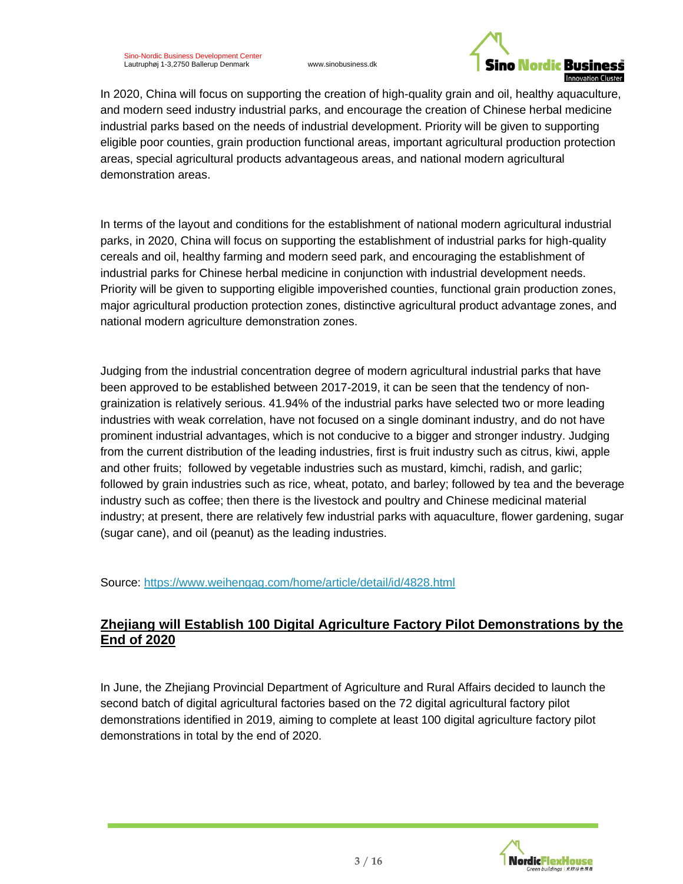Sino-Nordic Business Development Center Lautruphøj 1-3,2750 Ballerup Denmark www.sinobusiness.dk



In 2020, China will focus on supporting the creation of high-quality grain and oil, healthy aquaculture, and modern seed industry industrial parks, and encourage the creation of Chinese herbal medicine industrial parks based on the needs of industrial development. Priority will be given to supporting eligible poor counties, grain production functional areas, important agricultural production protection areas, special agricultural products advantageous areas, and national modern agricultural demonstration areas.

In terms of the layout and conditions for the establishment of national modern agricultural industrial parks, in 2020, China will focus on supporting the establishment of industrial parks for high-quality cereals and oil, healthy farming and modern seed park, and encouraging the establishment of industrial parks for Chinese herbal medicine in conjunction with industrial development needs. Priority will be given to supporting eligible impoverished counties, functional grain production zones, major agricultural production protection zones, distinctive agricultural product advantage zones, and national modern agriculture demonstration zones.

Judging from the industrial concentration degree of modern agricultural industrial parks that have been approved to be established between 2017-2019, it can be seen that the tendency of nongrainization is relatively serious. 41.94% of the industrial parks have selected two or more leading industries with weak correlation, have not focused on a single dominant industry, and do not have prominent industrial advantages, which is not conducive to a bigger and stronger industry. Judging from the current distribution of the leading industries, first is fruit industry such as citrus, kiwi, apple and other fruits; followed by vegetable industries such as mustard, kimchi, radish, and garlic; followed by grain industries such as rice, wheat, potato, and barley; followed by tea and the beverage industry such as coffee; then there is the livestock and poultry and Chinese medicinal material industry; at present, there are relatively few industrial parks with aquaculture, flower gardening, sugar (sugar cane), and oil (peanut) as the leading industries.

Source:<https://www.weihengag.com/home/article/detail/id/4828.html>

# **Zhejiang will Establish 100 Digital Agriculture Factory Pilot Demonstrations by the End of 2020**

In June, the Zhejiang Provincial Department of Agriculture and Rural Affairs decided to launch the second batch of digital agricultural factories based on the 72 digital agricultural factory pilot demonstrations identified in 2019, aiming to complete at least 100 digital agriculture factory pilot demonstrations in total by the end of 2020.

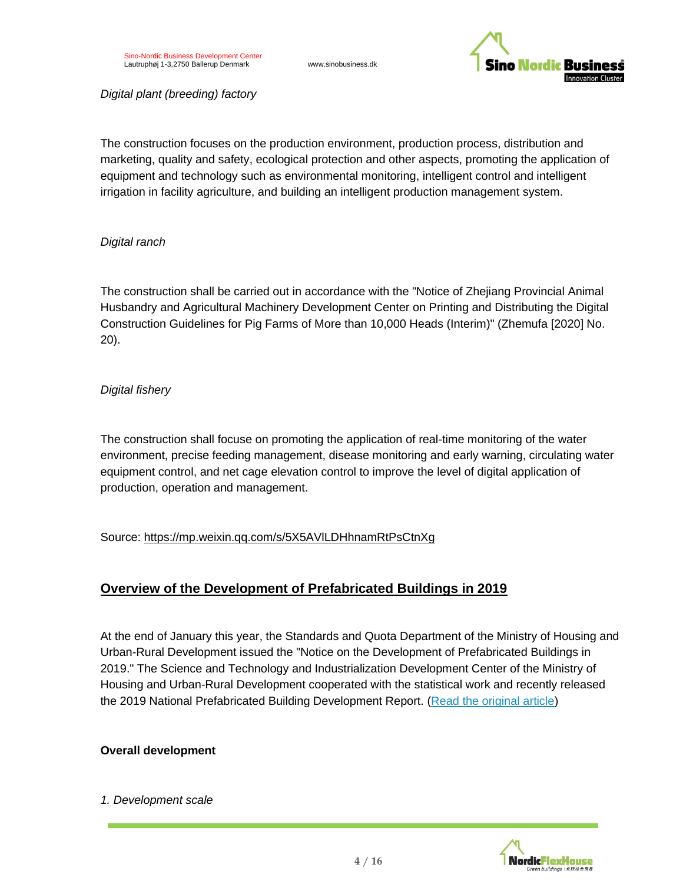

*Digital plant (breeding) factory*

The construction focuses on the production environment, production process, distribution and marketing, quality and safety, ecological protection and other aspects, promoting the application of equipment and technology such as environmental monitoring, intelligent control and intelligent irrigation in facility agriculture, and building an intelligent production management system.

### *Digital ranch*

The construction shall be carried out in accordance with the "Notice of Zhejiang Provincial Animal Husbandry and Agricultural Machinery Development Center on Printing and Distributing the Digital Construction Guidelines for Pig Farms of More than 10,000 Heads (Interim)" (Zhemufa [2020] No. 20).

# *Digital fishery*

The construction shall focuse on promoting the application of real-time monitoring of the water environment, precise feeding management, disease monitoring and early warning, circulating water equipment control, and net cage elevation control to improve the level of digital application of production, operation and management.

Source:<https://mp.weixin.qq.com/s/5X5AVlLDHhnamRtPsCtnXg>

# **Overview of the Development of Prefabricated Buildings in 2019**

At the end of January this year, the Standards and Quota Department of the Ministry of Housing and Urban-Rural Development issued the "Notice on the Development of Prefabricated Buildings in 2019." The Science and Technology and Industrialization Development Center of the Ministry of Housing and Urban-Rural Development cooperated with the statistical work and recently released the 2019 National Prefabricated Building Development Report. [\(Read the original article\)](http://www.cstcmoc.org.cn/plus/view.php?aid=5202)

### **Overall development**

*1. Development scale*

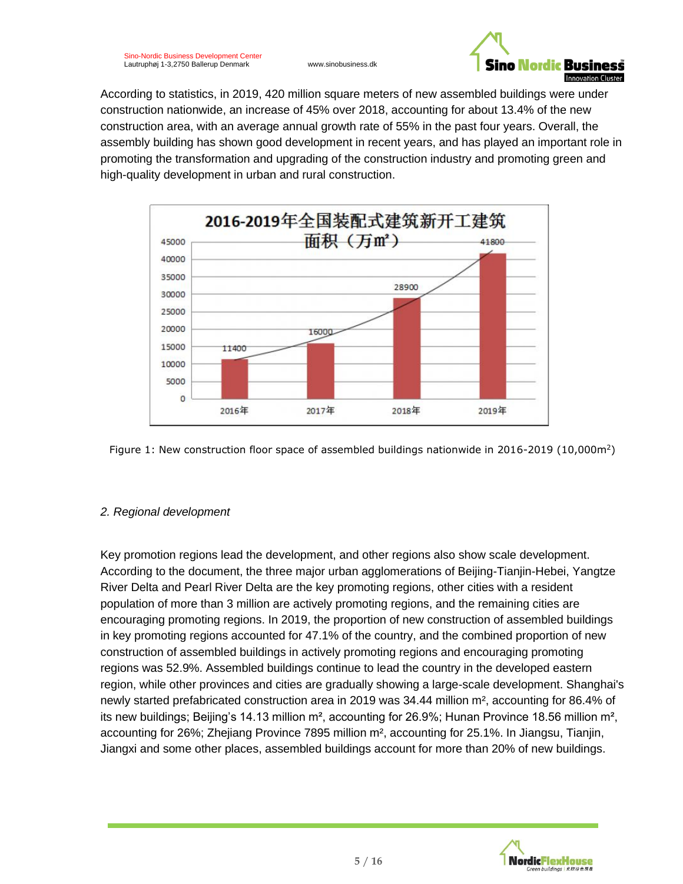

According to statistics, in 2019, 420 million square meters of new assembled buildings were under construction nationwide, an increase of 45% over 2018, accounting for about 13.4% of the new construction area, with an average annual growth rate of 55% in the past four years. Overall, the assembly building has shown good development in recent years, and has played an important role in promoting the transformation and upgrading of the construction industry and promoting green and high-quality development in urban and rural construction.



Figure 1: New construction floor space of assembled buildings nationwide in 2016-2019 (10,000m<sup>2</sup>)

# *2. Regional development*

Key promotion regions lead the development, and other regions also show scale development. According to the document, the three major urban agglomerations of Beijing-Tianjin-Hebei, Yangtze River Delta and Pearl River Delta are the key promoting regions, other cities with a resident population of more than 3 million are actively promoting regions, and the remaining cities are encouraging promoting regions. In 2019, the proportion of new construction of assembled buildings in key promoting regions accounted for 47.1% of the country, and the combined proportion of new construction of assembled buildings in actively promoting regions and encouraging promoting regions was 52.9%. Assembled buildings continue to lead the country in the developed eastern region, while other provinces and cities are gradually showing a large-scale development. Shanghai's newly started prefabricated construction area in 2019 was 34.44 million m<sup>2</sup>, accounting for 86.4% of its new buildings; Beijing's 14.13 million m², accounting for 26.9%; Hunan Province 18.56 million m², accounting for 26%; Zhejiang Province 7895 million m², accounting for 25.1%. In Jiangsu, Tianjin, Jiangxi and some other places, assembled buildings account for more than 20% of new buildings.

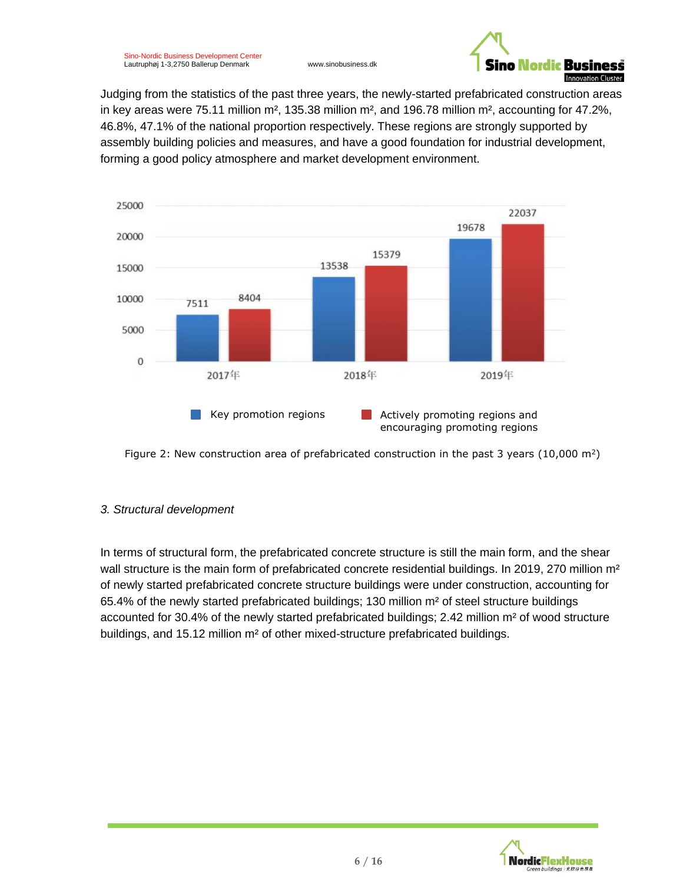

Judging from the statistics of the past three years, the newly-started prefabricated construction areas in key areas were 75.11 million m<sup>2</sup>, 135.38 million m<sup>2</sup>, and 196.78 million m<sup>2</sup>, accounting for 47.2%, 46.8%, 47.1% of the national proportion respectively. These regions are strongly supported by assembly building policies and measures, and have a good foundation for industrial development, forming a good policy atmosphere and market development environment.



Figure 2: New construction area of prefabricated construction in the past 3 years (10,000  $m^2$ )

# *3. Structural development*

In terms of structural form, the prefabricated concrete structure is still the main form, and the shear wall structure is the main form of prefabricated concrete residential buildings. In 2019, 270 million m<sup>2</sup> of newly started prefabricated concrete structure buildings were under construction, accounting for 65.4% of the newly started prefabricated buildings; 130 million m<sup>2</sup> of steel structure buildings accounted for 30.4% of the newly started prefabricated buildings; 2.42 million m² of wood structure buildings, and 15.12 million m² of other mixed-structure prefabricated buildings.

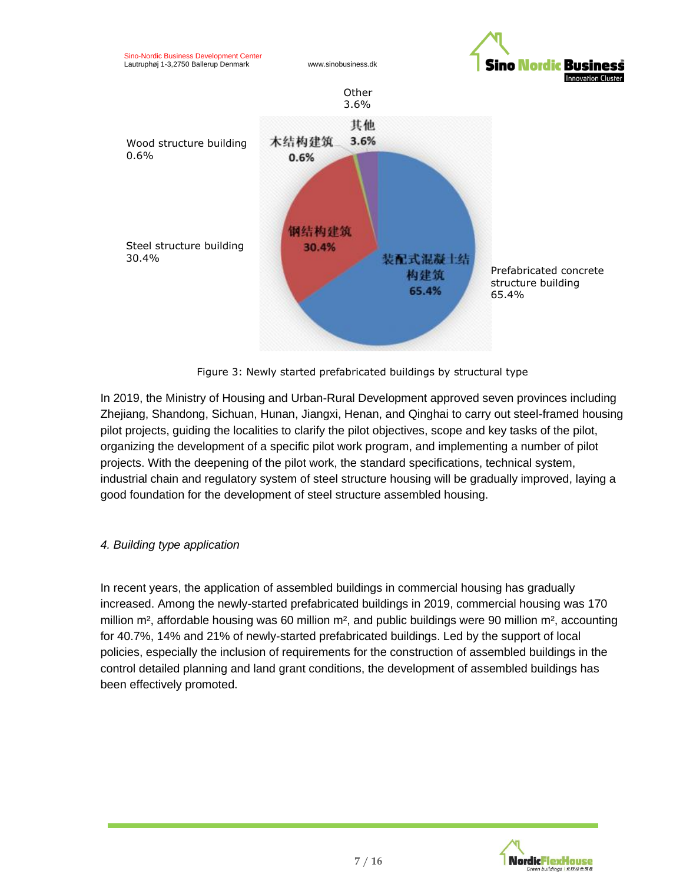

Figure 3: Newly started prefabricated buildings by structural type

In 2019, the Ministry of Housing and Urban-Rural Development approved seven provinces including Zhejiang, Shandong, Sichuan, Hunan, Jiangxi, Henan, and Qinghai to carry out steel-framed housing pilot projects, guiding the localities to clarify the pilot objectives, scope and key tasks of the pilot, organizing the development of a specific pilot work program, and implementing a number of pilot projects. With the deepening of the pilot work, the standard specifications, technical system, industrial chain and regulatory system of steel structure housing will be gradually improved, laying a good foundation for the development of steel structure assembled housing.

### *4. Building type application*

In recent years, the application of assembled buildings in commercial housing has gradually increased. Among the newly-started prefabricated buildings in 2019, commercial housing was 170 million m<sup>2</sup>, affordable housing was 60 million m<sup>2</sup>, and public buildings were 90 million m<sup>2</sup>, accounting for 40.7%, 14% and 21% of newly-started prefabricated buildings. Led by the support of local policies, especially the inclusion of requirements for the construction of assembled buildings in the control detailed planning and land grant conditions, the development of assembled buildings has been effectively promoted.

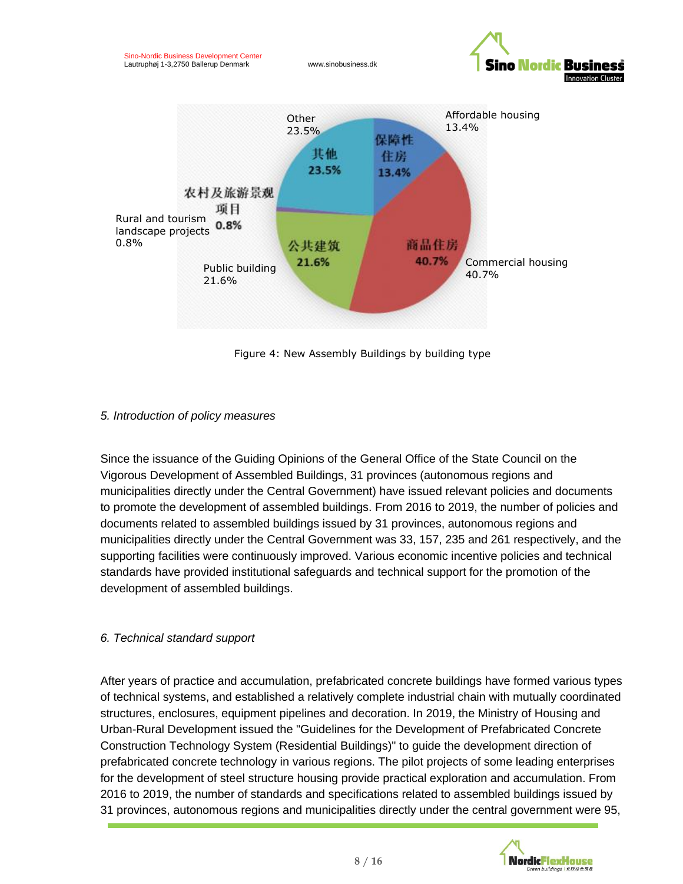



Figure 4: New Assembly Buildings by building type

#### *5. Introduction of policy measures*

Since the issuance of the Guiding Opinions of the General Office of the State Council on the Vigorous Development of Assembled Buildings, 31 provinces (autonomous regions and municipalities directly under the Central Government) have issued relevant policies and documents to promote the development of assembled buildings. From 2016 to 2019, the number of policies and documents related to assembled buildings issued by 31 provinces, autonomous regions and municipalities directly under the Central Government was 33, 157, 235 and 261 respectively, and the supporting facilities were continuously improved. Various economic incentive policies and technical standards have provided institutional safeguards and technical support for the promotion of the development of assembled buildings.

### *6. Technical standard support*

After years of practice and accumulation, prefabricated concrete buildings have formed various types of technical systems, and established a relatively complete industrial chain with mutually coordinated structures, enclosures, equipment pipelines and decoration. In 2019, the Ministry of Housing and Urban-Rural Development issued the "Guidelines for the Development of Prefabricated Concrete Construction Technology System (Residential Buildings)" to guide the development direction of prefabricated concrete technology in various regions. The pilot projects of some leading enterprises for the development of steel structure housing provide practical exploration and accumulation. From 2016 to 2019, the number of standards and specifications related to assembled buildings issued by 31 provinces, autonomous regions and municipalities directly under the central government were 95,

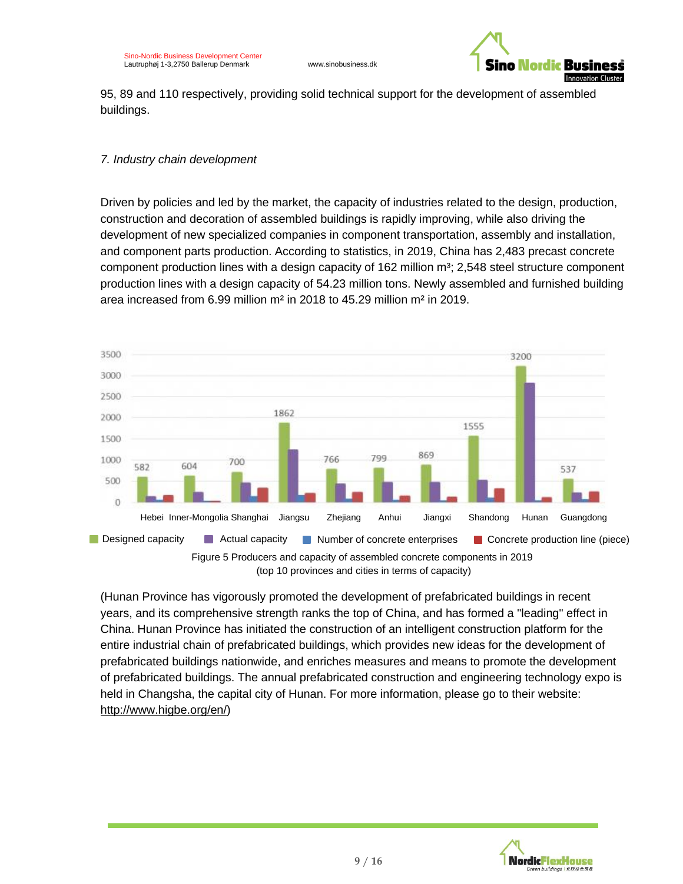

95, 89 and 110 respectively, providing solid technical support for the development of assembled buildings.

## *7. Industry chain development*

Driven by policies and led by the market, the capacity of industries related to the design, production, construction and decoration of assembled buildings is rapidly improving, while also driving the development of new specialized companies in component transportation, assembly and installation, and component parts production. According to statistics, in 2019, China has 2,483 precast concrete component production lines with a design capacity of 162 million m<sup>3</sup>; 2,548 steel structure component production lines with a design capacity of 54.23 million tons. Newly assembled and furnished building area increased from 6.99 million m² in 2018 to 45.29 million m² in 2019.



Figure 5 Producers and capacity of assembled concrete components in 2019 (top 10 provinces and cities in terms of capacity)

(Hunan Province has vigorously promoted the development of prefabricated buildings in recent years, and its comprehensive strength ranks the top of China, and has formed a "leading" effect in China. Hunan Province has initiated the construction of an intelligent construction platform for the entire industrial chain of prefabricated buildings, which provides new ideas for the development of prefabricated buildings nationwide, and enriches measures and means to promote the development of prefabricated buildings. The annual prefabricated construction and engineering technology expo is held in Changsha, the capital city of Hunan. For more information, please go to their website: [http://www.higbe.org/en/\)](http://www.higbe.org/en/)

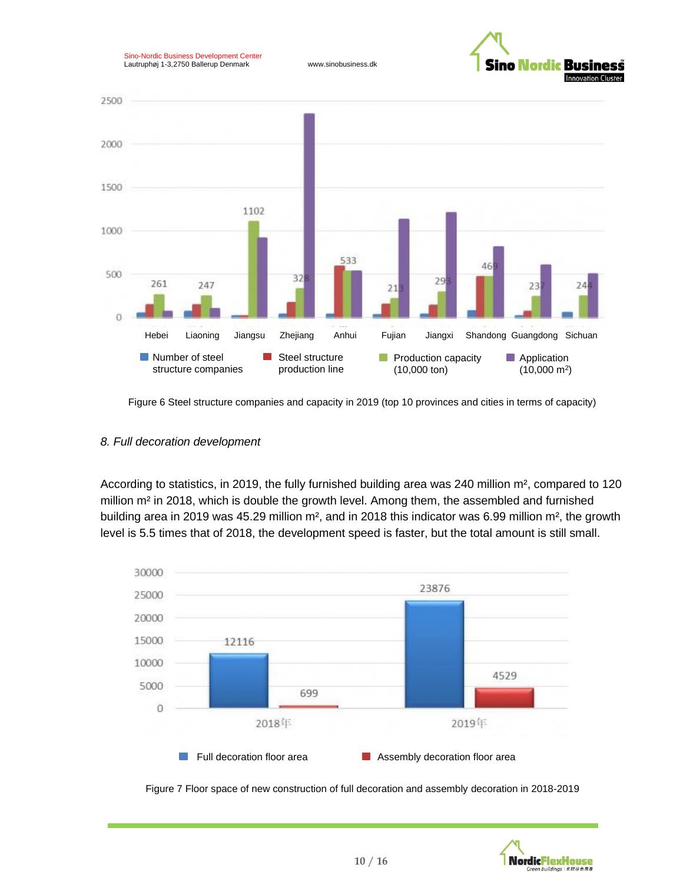Sino-Nordic Business Development Center Lautruphøj 1-3,2750 Ballerup Denmark www.sinobusiness.dk





Figure 6 Steel structure companies and capacity in 2019 (top 10 provinces and cities in terms of capacity)

#### *8. Full decoration development*

According to statistics, in 2019, the fully furnished building area was 240 million m<sup>2</sup>, compared to 120 million m<sup>2</sup> in 2018, which is double the growth level. Among them, the assembled and furnished building area in 2019 was 45.29 million m<sup>2</sup>, and in 2018 this indicator was 6.99 million m<sup>2</sup>, the growth level is 5.5 times that of 2018, the development speed is faster, but the total amount is still small.



Figure 7 Floor space of new construction of full decoration and assembly decoration in 2018-2019

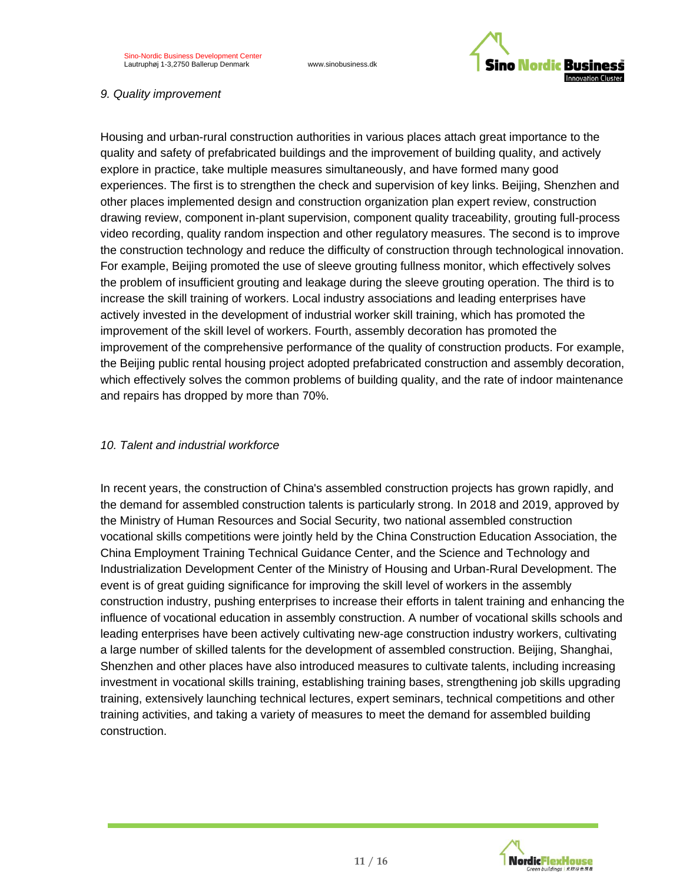

#### *9. Quality improvement*

Housing and urban-rural construction authorities in various places attach great importance to the quality and safety of prefabricated buildings and the improvement of building quality, and actively explore in practice, take multiple measures simultaneously, and have formed many good experiences. The first is to strengthen the check and supervision of key links. Beijing, Shenzhen and other places implemented design and construction organization plan expert review, construction drawing review, component in-plant supervision, component quality traceability, grouting full-process video recording, quality random inspection and other regulatory measures. The second is to improve the construction technology and reduce the difficulty of construction through technological innovation. For example, Beijing promoted the use of sleeve grouting fullness monitor, which effectively solves the problem of insufficient grouting and leakage during the sleeve grouting operation. The third is to increase the skill training of workers. Local industry associations and leading enterprises have actively invested in the development of industrial worker skill training, which has promoted the improvement of the skill level of workers. Fourth, assembly decoration has promoted the improvement of the comprehensive performance of the quality of construction products. For example, the Beijing public rental housing project adopted prefabricated construction and assembly decoration, which effectively solves the common problems of building quality, and the rate of indoor maintenance and repairs has dropped by more than 70%.

## *10. Talent and industrial workforce*

In recent years, the construction of China's assembled construction projects has grown rapidly, and the demand for assembled construction talents is particularly strong. In 2018 and 2019, approved by the Ministry of Human Resources and Social Security, two national assembled construction vocational skills competitions were jointly held by the China Construction Education Association, the China Employment Training Technical Guidance Center, and the Science and Technology and Industrialization Development Center of the Ministry of Housing and Urban-Rural Development. The event is of great guiding significance for improving the skill level of workers in the assembly construction industry, pushing enterprises to increase their efforts in talent training and enhancing the influence of vocational education in assembly construction. A number of vocational skills schools and leading enterprises have been actively cultivating new-age construction industry workers, cultivating a large number of skilled talents for the development of assembled construction. Beijing, Shanghai, Shenzhen and other places have also introduced measures to cultivate talents, including increasing investment in vocational skills training, establishing training bases, strengthening job skills upgrading training, extensively launching technical lectures, expert seminars, technical competitions and other training activities, and taking a variety of measures to meet the demand for assembled building construction.

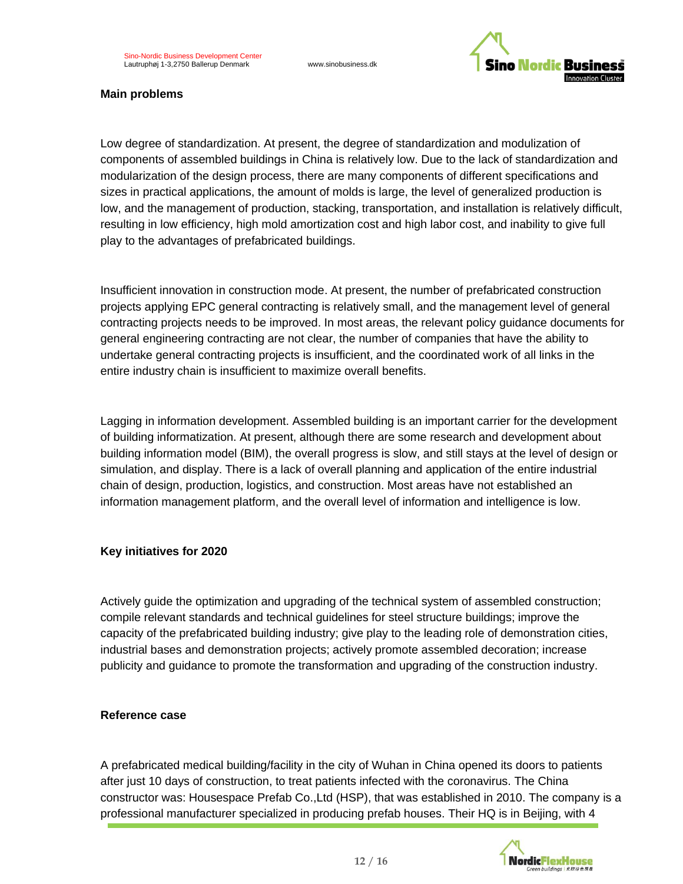

#### **Main problems**

Low degree of standardization. At present, the degree of standardization and modulization of components of assembled buildings in China is relatively low. Due to the lack of standardization and modularization of the design process, there are many components of different specifications and sizes in practical applications, the amount of molds is large, the level of generalized production is low, and the management of production, stacking, transportation, and installation is relatively difficult, resulting in low efficiency, high mold amortization cost and high labor cost, and inability to give full play to the advantages of prefabricated buildings.

Insufficient innovation in construction mode. At present, the number of prefabricated construction projects applying EPC general contracting is relatively small, and the management level of general contracting projects needs to be improved. In most areas, the relevant policy guidance documents for general engineering contracting are not clear, the number of companies that have the ability to undertake general contracting projects is insufficient, and the coordinated work of all links in the entire industry chain is insufficient to maximize overall benefits.

Lagging in information development. Assembled building is an important carrier for the development of building informatization. At present, although there are some research and development about building information model (BIM), the overall progress is slow, and still stays at the level of design or simulation, and display. There is a lack of overall planning and application of the entire industrial chain of design, production, logistics, and construction. Most areas have not established an information management platform, and the overall level of information and intelligence is low.

### **Key initiatives for 2020**

Actively guide the optimization and upgrading of the technical system of assembled construction; compile relevant standards and technical guidelines for steel structure buildings; improve the capacity of the prefabricated building industry; give play to the leading role of demonstration cities, industrial bases and demonstration projects; actively promote assembled decoration; increase publicity and guidance to promote the transformation and upgrading of the construction industry.

#### **Reference case**

A prefabricated medical building/facility in the city of Wuhan in China opened its doors to patients after just 10 days of construction, to treat patients infected with the coronavirus. The China constructor was: Housespace Prefab Co.,Ltd (HSP), that was established in 2010. The company is a professional manufacturer specialized in producing prefab houses. Their HQ is in Beijing, with 4

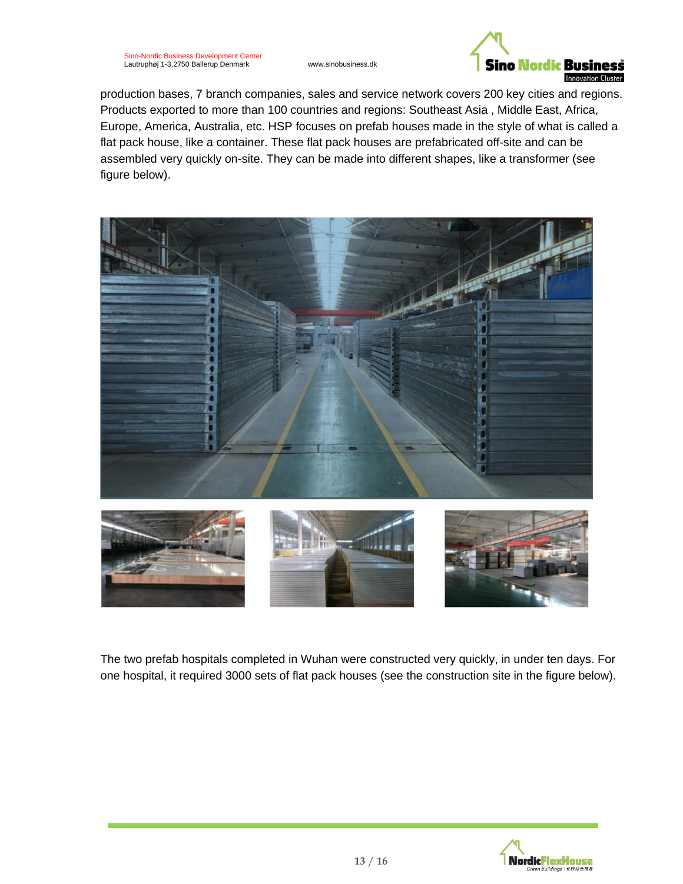

production bases, 7 branch companies, sales and service network covers 200 key cities and regions. Products exported to more than 100 countries and regions: Southeast Asia , Middle East, Africa, Europe, America, Australia, etc. HSP focuses on prefab houses made in the style of what is called a flat pack house, like a container. These flat pack houses are prefabricated off-site and can be assembled very quickly on-site. They can be made into different shapes, like a transformer (see figure below).



The two prefab hospitals completed in Wuhan were constructed very quickly, in under ten days. For one hospital, it required 3000 sets of flat pack houses (see the construction site in the figure below).

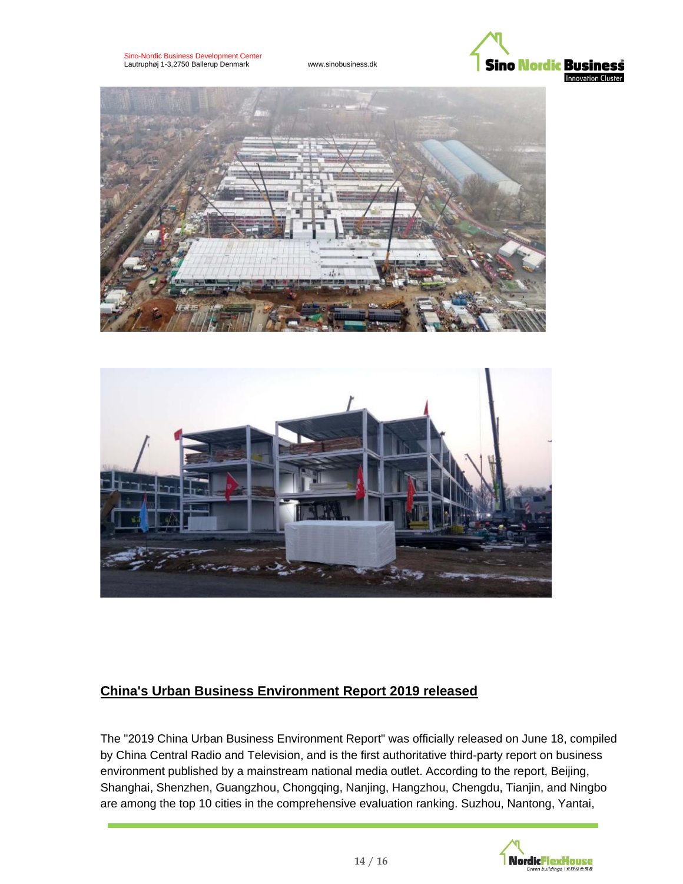Sino-Nordic Business Development Center Lautruphøj 1-3,2750 Ballerup Denmark www.sinobusiness.dk







# **China's Urban Business Environment Report 2019 released**

The "2019 China Urban Business Environment Report" was officially released on June 18, compiled by China Central Radio and Television, and is the first authoritative third-party report on business environment published by a mainstream national media outlet. According to the report, Beijing, Shanghai, Shenzhen, Guangzhou, Chongqing, Nanjing, Hangzhou, Chengdu, Tianjin, and Ningbo are among the top 10 cities in the comprehensive evaluation ranking. Suzhou, Nantong, Yantai,

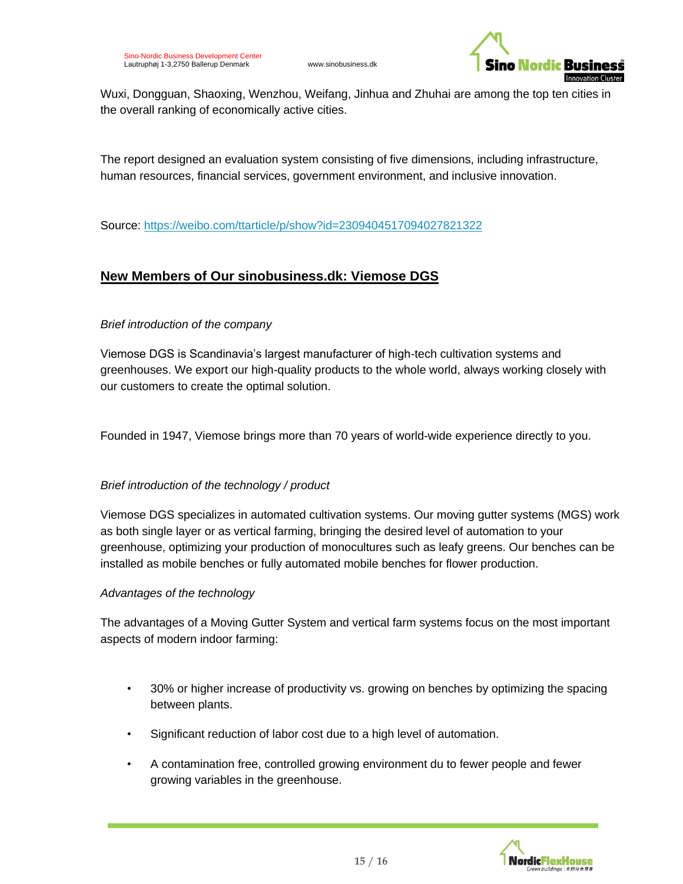

Wuxi, Dongguan, Shaoxing, Wenzhou, Weifang, Jinhua and Zhuhai are among the top ten cities in the overall ranking of economically active cities.

The report designed an evaluation system consisting of five dimensions, including infrastructure, human resources, financial services, government environment, and inclusive innovation.

Source:<https://weibo.com/ttarticle/p/show?id=2309404517094027821322>

# **New Members of Our sinobusiness.dk: Viemose DGS**

### *Brief introduction of the company*

Viemose DGS is Scandinavia's largest manufacturer of high-tech cultivation systems and greenhouses. We export our high-quality products to the whole world, always working closely with our customers to create the optimal solution.

Founded in 1947, Viemose brings more than 70 years of world-wide experience directly to you.

### *Brief introduction of the technology / product*

Viemose DGS specializes in automated cultivation systems. Our moving gutter systems (MGS) work as both single layer or as vertical farming, bringing the desired level of automation to your greenhouse, optimizing your production of monocultures such as leafy greens. Our benches can be installed as mobile benches or fully automated mobile benches for flower production.

### *Advantages of the technology*

The advantages of a Moving Gutter System and vertical farm systems focus on the most important aspects of modern indoor farming:

- 30% or higher increase of productivity vs. growing on benches by optimizing the spacing between plants.
- Significant reduction of labor cost due to a high level of automation.
- A contamination free, controlled growing environment du to fewer people and fewer growing variables in the greenhouse.